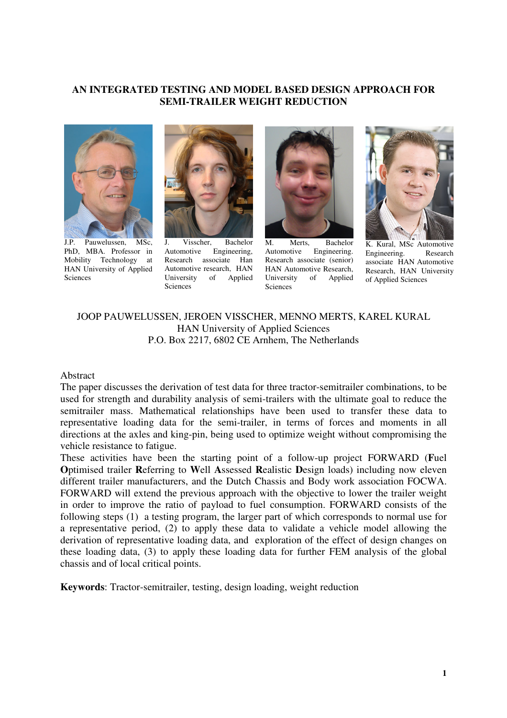#### **AN INTEGRATED TESTING AND MODEL BASED DESIGN APPROACH FOR SEMI-TRAILER WEIGHT REDUCTION**



J.P. Pauwelussen, MSc, PhD, MBA. Professor in Mobility Technology at HAN University of Applied Sciences



J. Visscher, Bachelor Automotive Engineering, Research associate Han Automotive research, HAN University of Applied Sciences



M. Merts, Bachelor Automotive Engineering. Research associate (senior) HAN Automotive Research, University of Applied **Sciences** 



K. Kural, MSc Automotive Engineering. Research associate HAN Automotive Research, HAN University of Applied Sciences

### JOOP PAUWELUSSEN, JEROEN VISSCHER, MENNO MERTS, KAREL KURAL HAN University of Applied Sciences P.O. Box 2217, 6802 CE Arnhem, The Netherlands

#### Abstract

The paper discusses the derivation of test data for three tractor-semitrailer combinations, to be used for strength and durability analysis of semi-trailers with the ultimate goal to reduce the semitrailer mass. Mathematical relationships have been used to transfer these data to representative loading data for the semi-trailer, in terms of forces and moments in all directions at the axles and king-pin, being used to optimize weight without compromising the vehicle resistance to fatigue.

These activities have been the starting point of a follow-up project FORWARD (**F**uel **O**ptimised trailer **R**eferring to **W**ell **A**ssessed **R**ealistic **D**esign loads) including now eleven different trailer manufacturers, and the Dutch Chassis and Body work association FOCWA. FORWARD will extend the previous approach with the objective to lower the trailer weight in order to improve the ratio of payload to fuel consumption. FORWARD consists of the following steps (1) a testing program, the larger part of which corresponds to normal use for a representative period, (2) to apply these data to validate a vehicle model allowing the derivation of representative loading data, and exploration of the effect of design changes on these loading data, (3) to apply these loading data for further FEM analysis of the global chassis and of local critical points.

**Keywords**: Tractor-semitrailer, testing, design loading, weight reduction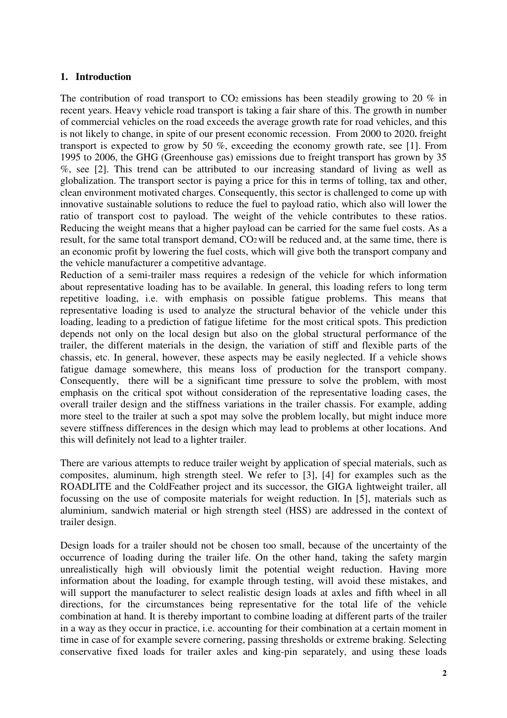## **1. Introduction**

The contribution of road transport to  $CO<sub>2</sub>$  emissions has been steadily growing to 20 % in recent years. Heavy vehicle road transport is taking a fair share of this. The growth in number of commercial vehicles on the road exceeds the average growth rate for road vehicles, and this is not likely to change, in spite of our present economic recession. From 2000 to 2020**.** freight transport is expected to grow by 50 %, exceeding the economy growth rate, see [1]. From 1995 to 2006, the GHG (Greenhouse gas) emissions due to freight transport has grown by 35 %, see [2]. This trend can be attributed to our increasing standard of living as well as globalization. The transport sector is paying a price for this in terms of tolling, tax and other, clean environment motivated charges. Consequently, this sector is challenged to come up with innovative sustainable solutions to reduce the fuel to payload ratio, which also will lower the ratio of transport cost to payload. The weight of the vehicle contributes to these ratios. Reducing the weight means that a higher payload can be carried for the same fuel costs. As a result, for the same total transport demand, CO2will be reduced and, at the same time, there is an economic profit by lowering the fuel costs, which will give both the transport company and the vehicle manufacturer a competitive advantage.

Reduction of a semi-trailer mass requires a redesign of the vehicle for which information about representative loading has to be available. In general, this loading refers to long term repetitive loading, i.e. with emphasis on possible fatigue problems. This means that representative loading is used to analyze the structural behavior of the vehicle under this loading, leading to a prediction of fatigue lifetime for the most critical spots. This prediction depends not only on the local design but also on the global structural performance of the trailer, the different materials in the design, the variation of stiff and flexible parts of the chassis, etc. In general, however, these aspects may be easily neglected. If a vehicle shows fatigue damage somewhere, this means loss of production for the transport company. Consequently, there will be a significant time pressure to solve the problem, with most emphasis on the critical spot without consideration of the representative loading cases, the overall trailer design and the stiffness variations in the trailer chassis. For example, adding more steel to the trailer at such a spot may solve the problem locally, but might induce more severe stiffness differences in the design which may lead to problems at other locations. And this will definitely not lead to a lighter trailer.

There are various attempts to reduce trailer weight by application of special materials, such as composites, aluminum, high strength steel. We refer to [3], [4] for examples such as the ROADLITE and the ColdFeather project and its successor, the GIGA lightweight trailer, all focussing on the use of composite materials for weight reduction. In [5], materials such as aluminium, sandwich material or high strength steel (HSS) are addressed in the context of trailer design.

Design loads for a trailer should not be chosen too small, because of the uncertainty of the occurrence of loading during the trailer life. On the other hand, taking the safety margin unrealistically high will obviously limit the potential weight reduction. Having more information about the loading, for example through testing, will avoid these mistakes, and will support the manufacturer to select realistic design loads at axles and fifth wheel in all directions, for the circumstances being representative for the total life of the vehicle combination at hand. It is thereby important to combine loading at different parts of the trailer in a way as they occur in practice, i.e. accounting for their combination at a certain moment in time in case of for example severe cornering, passing thresholds or extreme braking. Selecting conservative fixed loads for trailer axles and king-pin separately, and using these loads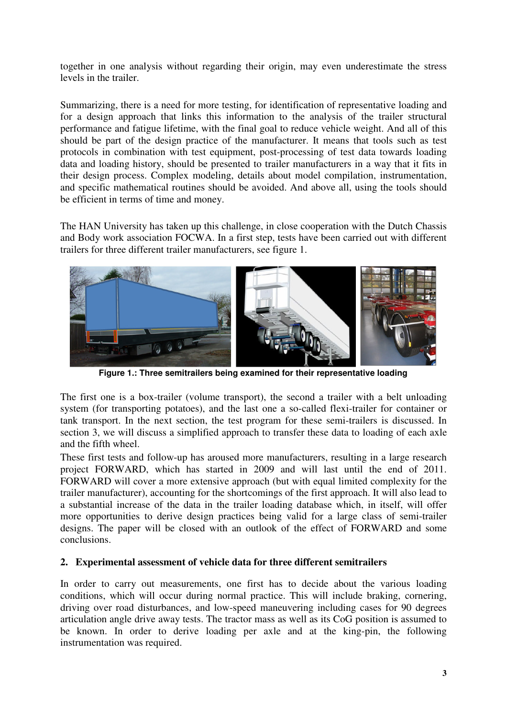together in one analysis without regarding their origin, may even underestimate the stress levels in the trailer.

Summarizing, there is a need for more testing, for identification of representative loading and for a design approach that links this information to the analysis of the trailer structural performance and fatigue lifetime, with the final goal to reduce vehicle weight. And all of this should be part of the design practice of the manufacturer. It means that tools such as test protocols in combination with test equipment, post-processing of test data towards loading data and loading history, should be presented to trailer manufacturers in a way that it fits in their design process. Complex modeling, details about model compilation, instrumentation, and specific mathematical routines should be avoided. And above all, using the tools should be efficient in terms of time and money.

The HAN University has taken up this challenge, in close cooperation with the Dutch Chassis and Body work association FOCWA. In a first step, tests have been carried out with different trailers for three different trailer manufacturers, see figure 1.



**Figure 1.: Three semitrailers being examined for their representative loading**

The first one is a box-trailer (volume transport), the second a trailer with a belt unloading system (for transporting potatoes), and the last one a so-called flexi-trailer for container or tank transport. In the next section, the test program for these semi-trailers is discussed. In section 3, we will discuss a simplified approach to transfer these data to loading of each axle and the fifth wheel.

These first tests and follow-up has aroused more manufacturers, resulting in a large research project FORWARD, which has started in 2009 and will last until the end of 2011. FORWARD will cover a more extensive approach (but with equal limited complexity for the trailer manufacturer), accounting for the shortcomings of the first approach. It will also lead to a substantial increase of the data in the trailer loading database which, in itself, will offer more opportunities to derive design practices being valid for a large class of semi-trailer designs. The paper will be closed with an outlook of the effect of FORWARD and some conclusions.

# **2. Experimental assessment of vehicle data for three different semitrailers**

In order to carry out measurements, one first has to decide about the various loading conditions, which will occur during normal practice. This will include braking, cornering, driving over road disturbances, and low-speed maneuvering including cases for 90 degrees articulation angle drive away tests. The tractor mass as well as its CoG position is assumed to be known. In order to derive loading per axle and at the king-pin, the following instrumentation was required.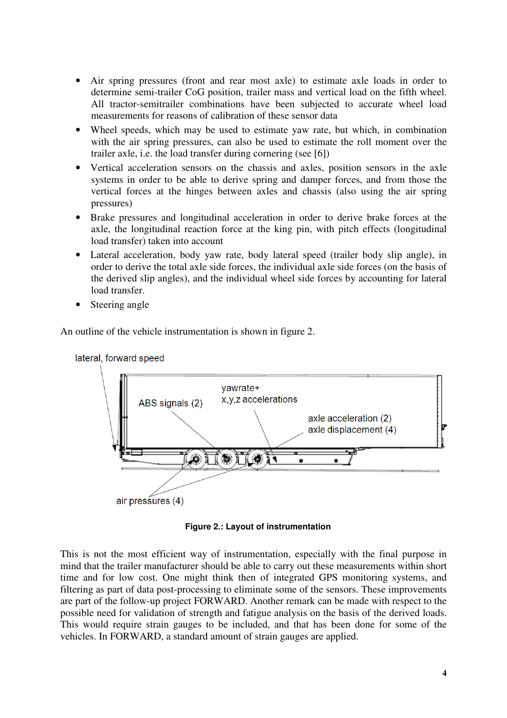- Air spring pressures (front and rear most axle) to estimate axle loads in order to determine semi-trailer CoG position, trailer mass and vertical load on the fifth wheel. All tractor-semitrailer combinations have been subjected to accurate wheel load measurements for reasons of calibration of these sensor data
- Wheel speeds, which may be used to estimate yaw rate, but which, in combination with the air spring pressures, can also be used to estimate the roll moment over the trailer axle, i.e. the load transfer during cornering (see [6])
- Vertical acceleration sensors on the chassis and axles, position sensors in the axle systems in order to be able to derive spring and damper forces, and from those the vertical forces at the hinges between axles and chassis (also using the air spring pressures)
- Brake pressures and longitudinal acceleration in order to derive brake forces at the axle, the longitudinal reaction force at the king pin, with pitch effects (longitudinal load transfer) taken into account
- Lateral acceleration, body yaw rate, body lateral speed (trailer body slip angle), in order to derive the total axle side forces, the individual axle side forces (on the basis of the derived slip angles), and the individual wheel side forces by accounting for lateral load transfer.
- Steering angle

An outline of the vehicle instrumentation is shown in figure 2.



**Figure 2.: Layout of instrumentation**

This is not the most efficient way of instrumentation, especially with the final purpose in mind that the trailer manufacturer should be able to carry out these measurements within short time and for low cost. One might think then of integrated GPS monitoring systems, and filtering as part of data post-processing to eliminate some of the sensors. These improvements are part of the follow-up project FORWARD. Another remark can be made with respect to the possible need for validation of strength and fatigue analysis on the basis of the derived loads. This would require strain gauges to be included, and that has been done for some of the vehicles. In FORWARD, a standard amount of strain gauges are applied.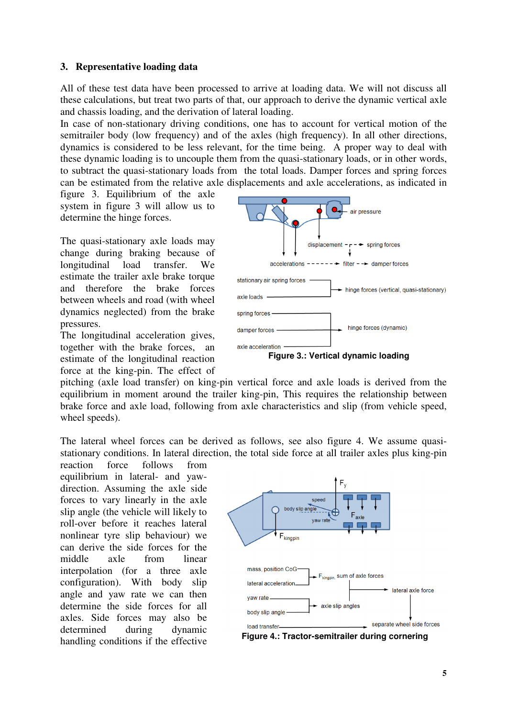### **3. Representative loading data**

All of these test data have been processed to arrive at loading data. We will not discuss all these calculations, but treat two parts of that, our approach to derive the dynamic vertical axle and chassis loading, and the derivation of lateral loading.

In case of non-stationary driving conditions, one has to account for vertical motion of the semitrailer body (low frequency) and of the axles (high frequency). In all other directions, dynamics is considered to be less relevant, for the time being. A proper way to deal with these dynamic loading is to uncouple them from the quasi-stationary loads, or in other words, to subtract the quasi-stationary loads from the total loads. Damper forces and spring forces can be estimated from the relative axle displacements and axle accelerations, as indicated in

figure 3. Equilibrium of the axle system in figure 3 will allow us to determine the hinge forces.

The quasi-stationary axle loads may change during braking because of longitudinal load transfer. We estimate the trailer axle brake torque and therefore the brake forces between wheels and road (with wheel dynamics neglected) from the brake pressures.

The longitudinal acceleration gives, together with the brake forces, an estimate of the longitudinal reaction force at the king-pin. The effect of



pitching (axle load transfer) on king-pin vertical force and axle loads is derived from the equilibrium in moment around the trailer king-pin, This requires the relationship between brake force and axle load, following from axle characteristics and slip (from vehicle speed, wheel speeds).

The lateral wheel forces can be derived as follows, see also figure 4. We assume quasistationary conditions. In lateral direction, the total side force at all trailer axles plus king-pin

reaction force follows from equilibrium in lateral- and yawdirection. Assuming the axle side forces to vary linearly in the axle slip angle (the vehicle will likely to roll-over before it reaches lateral nonlinear tyre slip behaviour) we can derive the side forces for the middle axle from linear interpolation (for a three axle configuration). With body slip angle and yaw rate we can then determine the side forces for all axles. Side forces may also be determined during dynamic handling conditions if the effective



**Figure 4.: Tractor-semitrailer during cornering**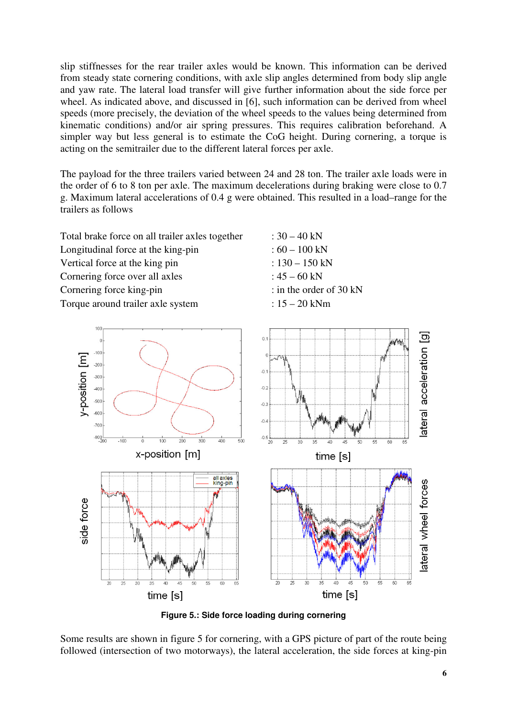slip stiffnesses for the rear trailer axles would be known. This information can be derived from steady state cornering conditions, with axle slip angles determined from body slip angle and yaw rate. The lateral load transfer will give further information about the side force per wheel. As indicated above, and discussed in [6], such information can be derived from wheel speeds (more precisely, the deviation of the wheel speeds to the values being determined from kinematic conditions) and/or air spring pressures. This requires calibration beforehand. A simpler way but less general is to estimate the CoG height. During cornering, a torque is acting on the semitrailer due to the different lateral forces per axle.

The payload for the three trailers varied between 24 and 28 ton. The trailer axle loads were in the order of 6 to 8 ton per axle. The maximum decelerations during braking were close to 0.7 g. Maximum lateral accelerations of 0.4 g were obtained. This resulted in a load–range for the trailers as follows

Total brake force on all trailer axles together  $\therefore$  30 – 40 kN Longitudinal force at the king-pin  $: 60 - 100$  kN Vertical force at the king pin :  $130 - 150$  kN Cornering force over all axles  $: 45 - 60 \text{ kN}$ Cornering force king-pin : in the order of 30 kN Torque around trailer axle system :  $15 - 20$  kNm



**Figure 5.: Side force loading during cornering**

Some results are shown in figure 5 for cornering, with a GPS picture of part of the route being followed (intersection of two motorways), the lateral acceleration, the side forces at king-pin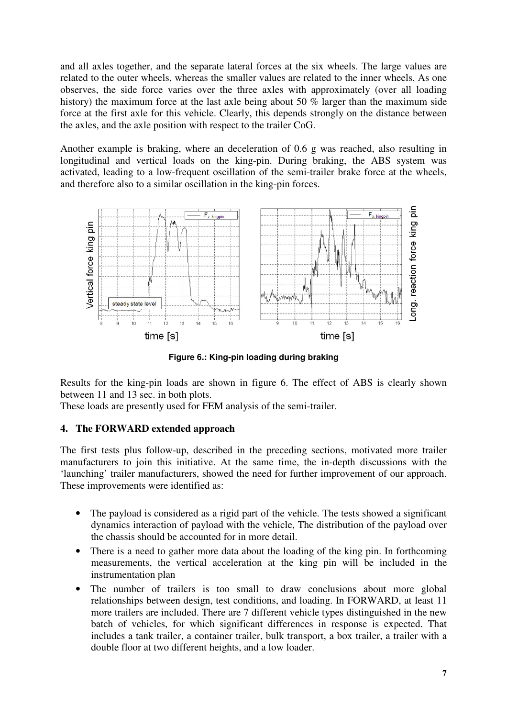and all axles together, and the separate lateral forces at the six wheels. The large values are related to the outer wheels, whereas the smaller values are related to the inner wheels. As one observes, the side force varies over the three axles with approximately (over all loading history) the maximum force at the last axle being about 50 % larger than the maximum side force at the first axle for this vehicle. Clearly, this depends strongly on the distance between the axles, and the axle position with respect to the trailer CoG.

Another example is braking, where an deceleration of 0.6 g was reached, also resulting in longitudinal and vertical loads on the king-pin. During braking, the ABS system was activated, leading to a low-frequent oscillation of the semi-trailer brake force at the wheels, and therefore also to a similar oscillation in the king-pin forces.



**Figure 6.: King-pin loading during braking**

Results for the king-pin loads are shown in figure 6. The effect of ABS is clearly shown between 11 and 13 sec. in both plots.

These loads are presently used for FEM analysis of the semi-trailer.

# **4. The FORWARD extended approach**

The first tests plus follow-up, described in the preceding sections, motivated more trailer manufacturers to join this initiative. At the same time, the in-depth discussions with the 'launching' trailer manufacturers, showed the need for further improvement of our approach. These improvements were identified as:

- The payload is considered as a rigid part of the vehicle. The tests showed a significant dynamics interaction of payload with the vehicle, The distribution of the payload over the chassis should be accounted for in more detail.
- There is a need to gather more data about the loading of the king pin. In forthcoming measurements, the vertical acceleration at the king pin will be included in the instrumentation plan
- The number of trailers is too small to draw conclusions about more global relationships between design, test conditions, and loading. In FORWARD, at least 11 more trailers are included. There are 7 different vehicle types distinguished in the new batch of vehicles, for which significant differences in response is expected. That includes a tank trailer, a container trailer, bulk transport, a box trailer, a trailer with a double floor at two different heights, and a low loader.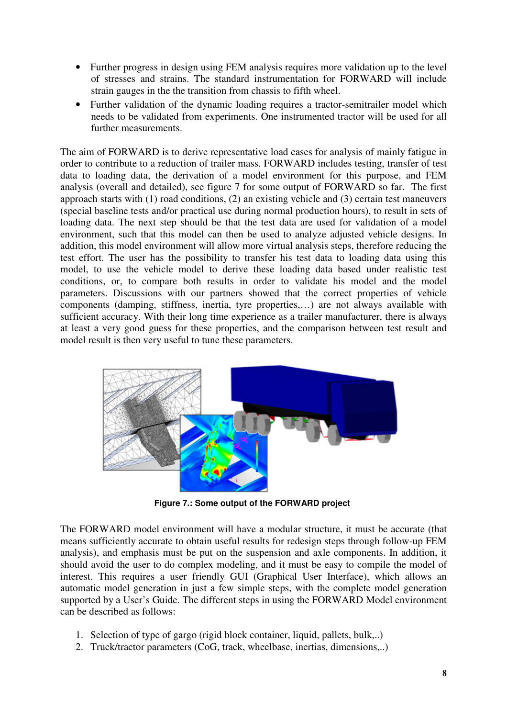- Further progress in design using FEM analysis requires more validation up to the level of stresses and strains. The standard instrumentation for FORWARD will include strain gauges in the the transition from chassis to fifth wheel.
- Further validation of the dynamic loading requires a tractor-semitrailer model which needs to be validated from experiments. One instrumented tractor will be used for all further measurements.

The aim of FORWARD is to derive representative load cases for analysis of mainly fatigue in order to contribute to a reduction of trailer mass. FORWARD includes testing, transfer of test data to loading data, the derivation of a model environment for this purpose, and FEM analysis (overall and detailed), see figure 7 for some output of FORWARD so far. The first approach starts with (1) road conditions, (2) an existing vehicle and (3) certain test maneuvers (special baseline tests and/or practical use during normal production hours), to result in sets of loading data. The next step should be that the test data are used for validation of a model environment, such that this model can then be used to analyze adjusted vehicle designs. In addition, this model environment will allow more virtual analysis steps, therefore reducing the test effort. The user has the possibility to transfer his test data to loading data using this model, to use the vehicle model to derive these loading data based under realistic test conditions, or, to compare both results in order to validate his model and the model parameters. Discussions with our partners showed that the correct properties of vehicle components (damping, stiffness, inertia, tyre properties,…) are not always available with sufficient accuracy. With their long time experience as a trailer manufacturer, there is always at least a very good guess for these properties, and the comparison between test result and model result is then very useful to tune these parameters.



**Figure 7.: Some output of the FORWARD project**

The FORWARD model environment will have a modular structure, it must be accurate (that means sufficiently accurate to obtain useful results for redesign steps through follow-up FEM analysis), and emphasis must be put on the suspension and axle components. In addition, it should avoid the user to do complex modeling, and it must be easy to compile the model of interest. This requires a user friendly GUI (Graphical User Interface), which allows an automatic model generation in just a few simple steps, with the complete model generation supported by a User's Guide. The different steps in using the FORWARD Model environment can be described as follows:

- 1. Selection of type of gargo (rigid block container, liquid, pallets, bulk,..)
- 2. Truck/tractor parameters (CoG, track, wheelbase, inertias, dimensions,..)